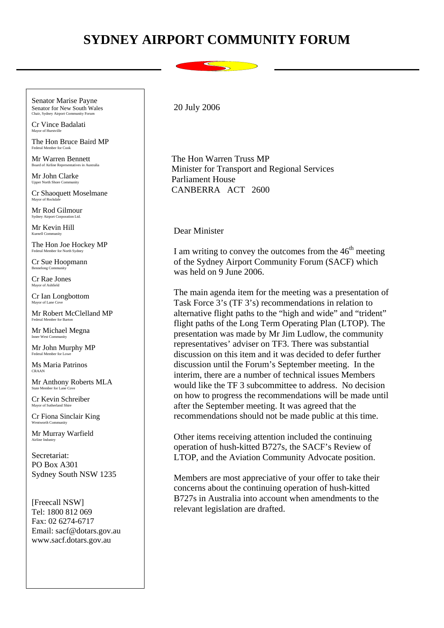## **SYDNEY AIRPORT COMMUNITY FORUM**

Chair, Sydney Airport Community Foru Senator Marise Payne Senator for New South Wales

Cr Vince Badalati Mayor of Hurstville

Federal Member for Cook The Hon Bruce Baird MP

Mr Warren Bennett oard of Airline Representatives in Australia

Mr John Clarke Upper North Shore Comm

 Mayor of Rockdale Cr Shaoquett Moselmane

Mr Rod Gilmour Sydney Airport Corporation Ltd.

Mr Kevin Hill Kurnell Community

The Hon Joe Hockey MP Federal Member for North Sydney

Cr Sue Hoopmann Bennelong Community

Cr Rae Jones Mayor of Ashfield

Cr Ian Longbottom Mayor of Lane Cov

Mr Robert McClelland MP Federal Member for Barton

Mr Michael Megna Inner West Community

Mr John Murphy MP

Ms Maria Patrinos CRAAN

Mr Anthony Roberts MLA State Member for Lane Cov

Cr Kevin Schreiber Mayor of Sutherland Shire

Cr Fiona Sinclair King

Mr Murray Warfield Airline Industry

Secretariat: PO Box A301 Sydney South NSW 1235

[Freecall NSW] Tel: 1800 812 069 Fax: 02 6274-6717 Email: sacf@dotars.gov.au www.sacf.dotars.gov.au

20 July 2006

 The Hon Warren Truss MP Minister for Transport and Regional Services Parliament House CANBERRA ACT 2600

Dear Minister

I am writing to convey the outcomes from the  $46<sup>th</sup>$  meeting of the Sydney Airport Community Forum (SACF) which was held on 9 June 2006.

The main agenda item for the meeting was a presentation of Task Force 3's (TF 3's) recommendations in relation to alternative flight paths to the "high and wide" and "trident" flight paths of the Long Term Operating Plan (LTOP). The presentation was made by Mr Jim Ludlow, the community representatives' adviser on TF3. There was substantial discussion on this item and it was decided to defer further discussion until the Forum's September meeting. In the interim, there are a number of technical issues Members would like the TF 3 subcommittee to address. No decision on how to progress the recommendations will be made until after the September meeting. It was agreed that the recommendations should not be made public at this time.

Other items receiving attention included the continuing operation of hush-kitted B727s, the SACF's Review of LTOP, and the Aviation Community Advocate position.

Members are most appreciative of your offer to take their concerns about the continuing operation of hush-kitted B727s in Australia into account when amendments to the relevant legislation are drafted.